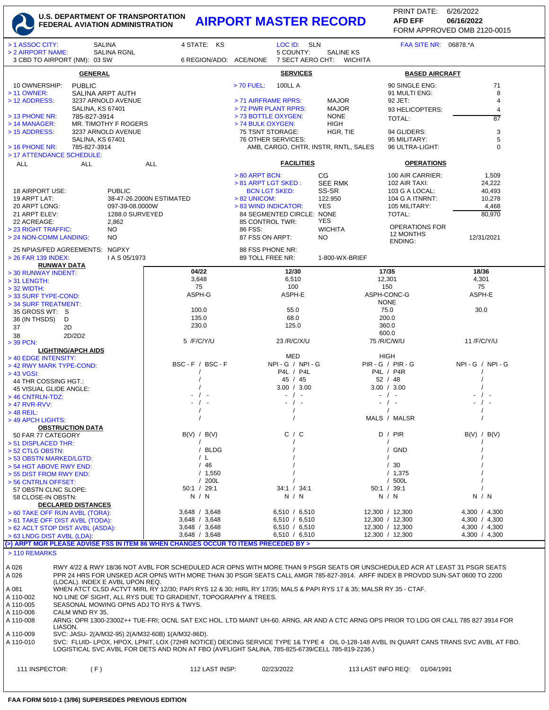## **U.S. DEPARTMENT OF TRANSPORTATION FEDERAL AVIATION ADMINISTRATION AIRPORT MASTER RECORD AFD EFF 06/16/2022**

FORM APPROVED OMB 2120-0015 PRINT DATE: 6/26/2022 **AFD EFF**

| <b>SALINA</b><br>> 1 ASSOC CITY:<br><b>SALINA RGNL</b><br>> 2 AIRPORT NAME:<br>3 CBD TO AIRPORT (NM): 03 SW                                                                                                                                           |                                                                                                                                                                                              |                                            | 4 STATE: KS              | LOC ID: SLN<br>5 COUNTY:<br><b>SALINE KS</b><br>7 SECT AERO CHT:<br>6 REGION/ADO: ACE/NONE<br>WICHITA |                                             |                                  | FAA SITE NR: 06878.*A                |                    |                                    |                       |                                                                                                                              |  |
|-------------------------------------------------------------------------------------------------------------------------------------------------------------------------------------------------------------------------------------------------------|----------------------------------------------------------------------------------------------------------------------------------------------------------------------------------------------|--------------------------------------------|--------------------------|-------------------------------------------------------------------------------------------------------|---------------------------------------------|----------------------------------|--------------------------------------|--------------------|------------------------------------|-----------------------|------------------------------------------------------------------------------------------------------------------------------|--|
|                                                                                                                                                                                                                                                       | <b>GENERAL</b>                                                                                                                                                                               |                                            |                          |                                                                                                       |                                             | <b>SERVICES</b>                  |                                      |                    |                                    | <b>BASED AIRCRAFT</b> |                                                                                                                              |  |
| 10 OWNERSHIP:<br>> 11 OWNER:                                                                                                                                                                                                                          | <b>PUBLIC</b><br>SALINA ARPT AUTH                                                                                                                                                            |                                            |                          |                                                                                                       | $> 70$ FUEL:                                | <b>100LL A</b>                   |                                      |                    | 90 SINGLE ENG:<br>91 MULTI ENG:    |                       | 71<br>8                                                                                                                      |  |
| > 12 ADDRESS:                                                                                                                                                                                                                                         | <b>SALINA, KS 67401</b>                                                                                                                                                                      | 3237 ARNOLD AVENUE                         |                          |                                                                                                       | > 71 AIRFRAME RPRS:<br>> 72 PWR PLANT RPRS: |                                  | <b>MAJOR</b><br><b>MAJOR</b>         |                    | 92 JET:                            |                       | 4<br>4                                                                                                                       |  |
| > 13 PHONE NR:                                                                                                                                                                                                                                        | 785-827-3914                                                                                                                                                                                 |                                            |                          |                                                                                                       | > 73 BOTTLE OXYGEN:                         |                                  | <b>NONE</b>                          |                    | 93 HELICOPTERS:<br><b>TOTAL:</b>   |                       | 87                                                                                                                           |  |
| $>$ 14 MANAGER:<br>> 15 ADDRESS:                                                                                                                                                                                                                      |                                                                                                                                                                                              | MR. TIMOTHY F ROGERS<br>3237 ARNOLD AVENUE |                          |                                                                                                       | > 74 BULK OXYGEN:<br>75 TSNT STORAGE:       |                                  | HIGH<br>HGR, TIE                     |                    | 94 GLIDERS:                        |                       | 3                                                                                                                            |  |
| <b>SALINA, KS 67401</b>                                                                                                                                                                                                                               |                                                                                                                                                                                              |                                            |                          |                                                                                                       | 76 OTHER SERVICES:                          |                                  |                                      |                    | 95 MILITARY:                       |                       | 5                                                                                                                            |  |
| $>$ 16 PHONE NR:<br>785-827-3914<br>> 17 ATTENDANCE SCHEDULE:<br><b>ALL</b><br><b>ALL</b>                                                                                                                                                             |                                                                                                                                                                                              |                                            | <b>ALL</b>               |                                                                                                       |                                             | <b>FACILITIES</b>                | AMB, CARGO, CHTR, INSTR, RNTL, SALES |                    | 96 ULTRA-LIGHT:                    | <b>OPERATIONS</b>     | $\mathbf 0$                                                                                                                  |  |
|                                                                                                                                                                                                                                                       |                                                                                                                                                                                              |                                            |                          |                                                                                                       | > 80 ARPT BCN:                              |                                  | СG                                   |                    | 100 AIR CARRIER:                   |                       | 1,509                                                                                                                        |  |
|                                                                                                                                                                                                                                                       |                                                                                                                                                                                              |                                            |                          |                                                                                                       | $> 81$ ARPT LGT SKED :                      |                                  | <b>SEE RMK</b>                       |                    | 102 AIR TAXI:                      |                       | 24,222                                                                                                                       |  |
| 18 AIRPORT USE:<br>19 ARPT LAT:                                                                                                                                                                                                                       |                                                                                                                                                                                              | <b>PUBLIC</b>                              | 38-47-26.2000N ESTIMATED |                                                                                                       | <b>BCN LGT SKED:</b><br>> 82 UNICOM:        |                                  | SS-SR<br>122.950                     |                    | 103 G A LOCAL:<br>104 G A ITNRNT:  |                       | 40,493<br>10,278                                                                                                             |  |
| 20 ARPT LONG:                                                                                                                                                                                                                                         |                                                                                                                                                                                              | 097-39-08.0000W                            |                          |                                                                                                       | > 83 WIND INDICATOR:                        |                                  | <b>YES</b>                           |                    | 105 MILITARY:                      |                       | 4,468                                                                                                                        |  |
| 21 ARPT ELEV:                                                                                                                                                                                                                                         |                                                                                                                                                                                              | 1288.0 SURVEYED                            |                          |                                                                                                       | 84 SEGMENTED CIRCLE: NONE                   |                                  | YES                                  |                    | TOTAL:                             |                       | 80,970                                                                                                                       |  |
| 22 ACREAGE:<br>> 23 RIGHT TRAFFIC:                                                                                                                                                                                                                    |                                                                                                                                                                                              | 2,862<br>NO.                               |                          |                                                                                                       | 85 CONTROL TWR:<br>86 FSS:                  |                                  | <b>WICHITA</b>                       |                    | <b>OPERATIONS FOR</b><br>12 MONTHS |                       |                                                                                                                              |  |
| > 24 NON-COMM LANDING:                                                                                                                                                                                                                                |                                                                                                                                                                                              | NO                                         |                          |                                                                                                       | 87 FSS ON ARPT:                             |                                  | NO.                                  |                    | ENDING:                            |                       | 12/31/2021                                                                                                                   |  |
| 25 NPIAS/FED AGREEMENTS: NGPXY<br>> 26 FAR 139 INDEX:                                                                                                                                                                                                 |                                                                                                                                                                                              | I A S 05/1973                              |                          |                                                                                                       | 88 FSS PHONE NR:<br>89 TOLL FREE NR:        |                                  | 1-800-WX-BRIEF                       |                    |                                    |                       |                                                                                                                              |  |
| > 30 RUNWAY INDENT:                                                                                                                                                                                                                                   | <b>RUNWAY DATA</b>                                                                                                                                                                           |                                            |                          | 04/22                                                                                                 |                                             | 12/30                            |                                      |                    | 17/35                              |                       | 18/36                                                                                                                        |  |
| $>$ 31 LENGTH:                                                                                                                                                                                                                                        |                                                                                                                                                                                              |                                            |                          | 3,648                                                                                                 |                                             | 6,510                            |                                      |                    | 12,301                             |                       | 4,301                                                                                                                        |  |
| > 32 WIDTH:<br>> 33 SURF TYPE-COND:                                                                                                                                                                                                                   |                                                                                                                                                                                              |                                            |                          | 75<br>ASPH-G                                                                                          |                                             | 100<br>ASPH-E                    |                                      |                    | 150<br>ASPH-CONC-G                 |                       | 75<br>ASPH-E                                                                                                                 |  |
| > 34 SURF TREATMENT:                                                                                                                                                                                                                                  |                                                                                                                                                                                              |                                            |                          |                                                                                                       |                                             |                                  |                                      |                    | <b>NONE</b>                        |                       |                                                                                                                              |  |
| 35 GROSS WT: S                                                                                                                                                                                                                                        |                                                                                                                                                                                              |                                            |                          | 100.0                                                                                                 |                                             | 55.0                             |                                      |                    | 75.0<br>200.0                      |                       | 30.0                                                                                                                         |  |
| 36 (IN THSDS)<br>37                                                                                                                                                                                                                                   | D<br>2D                                                                                                                                                                                      |                                            |                          | 135.0<br>230.0                                                                                        |                                             | 68.0<br>125.0                    |                                      |                    | 360.0                              |                       |                                                                                                                              |  |
| 38                                                                                                                                                                                                                                                    | 2D/2D2                                                                                                                                                                                       |                                            |                          |                                                                                                       |                                             |                                  |                                      |                    | 600.0                              |                       |                                                                                                                              |  |
| $>$ 39 PCN:                                                                                                                                                                                                                                           |                                                                                                                                                                                              |                                            |                          | 5 /F/C/Y/U                                                                                            |                                             | 23 /R/C/X/U                      |                                      |                    | 75 /R/C/W/U                        |                       | 11/F/C/Y/U                                                                                                                   |  |
| > 40 EDGE INTENSITY:                                                                                                                                                                                                                                  | <b>LIGHTING/APCH AIDS</b>                                                                                                                                                                    |                                            |                          |                                                                                                       |                                             | MED                              |                                      |                    | HIGH                               |                       |                                                                                                                              |  |
| > 42 RWY MARK TYPE-COND:                                                                                                                                                                                                                              |                                                                                                                                                                                              |                                            |                          | BSC-F / BSC-F                                                                                         |                                             | $NPI - G / NPI - G$<br>P4L / P4L |                                      |                    | <b>PIR - G / PIR - G</b>           |                       | $NPI - G / NPI - G$                                                                                                          |  |
| > 43 VGSI:<br>44 THR COSSING HGT.:                                                                                                                                                                                                                    |                                                                                                                                                                                              |                                            |                          |                                                                                                       |                                             | 45 / 45                          |                                      |                    | P4L / P4R<br>52 / 48               |                       |                                                                                                                              |  |
| 45 VISUAL GLIDE ANGLE:                                                                                                                                                                                                                                |                                                                                                                                                                                              |                                            |                          |                                                                                                       |                                             | 3.00 / 3.00                      |                                      |                    | 3.00 / 3.00                        |                       |                                                                                                                              |  |
| > 46 CNTRLN-TDZ:                                                                                                                                                                                                                                      |                                                                                                                                                                                              |                                            |                          |                                                                                                       |                                             | $-$ / $-$<br>$-$ / $-$           |                                      |                    | $-$ / $-$<br>$-1$ .                |                       |                                                                                                                              |  |
| $>$ 47 RVR-RVV:<br>$>$ 48 REIL:                                                                                                                                                                                                                       |                                                                                                                                                                                              |                                            |                          |                                                                                                       |                                             |                                  |                                      |                    | $\prime$                           |                       |                                                                                                                              |  |
| > 49 APCH LIGHTS:                                                                                                                                                                                                                                     |                                                                                                                                                                                              |                                            |                          |                                                                                                       |                                             |                                  |                                      |                    | MALS / MALSR                       |                       |                                                                                                                              |  |
| 50 FAR 77 CATEGORY                                                                                                                                                                                                                                    | <b>OBSTRUCTION DATA</b>                                                                                                                                                                      |                                            |                          | B(V) / B(V)                                                                                           |                                             | C / C                            |                                      |                    | D / PIR                            |                       | B(V) / B(V)                                                                                                                  |  |
| > 51 DISPLACED THR:                                                                                                                                                                                                                                   |                                                                                                                                                                                              |                                            |                          | $\sqrt{2}$                                                                                            |                                             |                                  |                                      |                    | $\prime$                           |                       |                                                                                                                              |  |
| > 52 CTLG OBSTN:<br>> 53 OBSTN MARKED/LGTD:                                                                                                                                                                                                           |                                                                                                                                                                                              |                                            |                          | / BLDG<br>/ L                                                                                         |                                             |                                  |                                      |                    | / GND                              |                       |                                                                                                                              |  |
| > 54 HGT ABOVE RWY END:                                                                                                                                                                                                                               |                                                                                                                                                                                              |                                            |                          | /46                                                                                                   |                                             |                                  |                                      |                    | /30                                |                       |                                                                                                                              |  |
| > 55 DIST FROM RWY END:                                                                                                                                                                                                                               |                                                                                                                                                                                              |                                            |                          | / 1,550                                                                                               |                                             |                                  |                                      |                    | /1,375                             |                       |                                                                                                                              |  |
| > 56 CNTRLN OFFSET:<br>57 OBSTN CLNC SLOPE:                                                                                                                                                                                                           |                                                                                                                                                                                              |                                            |                          | /200L<br>50:1 / 29:1                                                                                  |                                             | 34:1 / 34:1                      |                                      |                    | /500L<br>50:1 / 39:1               |                       |                                                                                                                              |  |
| 58 CLOSE-IN OBSTN:                                                                                                                                                                                                                                    |                                                                                                                                                                                              |                                            |                          | N / N                                                                                                 |                                             | N / N                            |                                      |                    | N / N                              |                       | N / N                                                                                                                        |  |
| > 60 TAKE OFF RUN AVBL (TORA):                                                                                                                                                                                                                        | <b>DECLARED DISTANCES</b>                                                                                                                                                                    |                                            |                          | $3,648$ / $3,648$                                                                                     |                                             | 6,510 / 6,510                    |                                      |                    | 12,300 / 12,300                    |                       | 4.300 / 4.300                                                                                                                |  |
| > 61 TAKE OFF DIST AVBL (TODA):                                                                                                                                                                                                                       |                                                                                                                                                                                              |                                            |                          | 3,648 / 3,648                                                                                         |                                             | 6,510 / 6,510                    |                                      |                    | 12,300 / 12,300                    |                       | 4,300 / 4,300                                                                                                                |  |
| > 62 ACLT STOP DIST AVBL (ASDA):                                                                                                                                                                                                                      |                                                                                                                                                                                              |                                            |                          | $3,648$ / $3,648$                                                                                     |                                             | 6,510 / 6,510                    |                                      |                    | 12,300 / 12,300                    |                       | 4,300 / 4,300                                                                                                                |  |
| > 63 LNDG DIST AVBL (LDA):                                                                                                                                                                                                                            |                                                                                                                                                                                              |                                            |                          | 3,648 / 3,648                                                                                         |                                             | 6,510 / 6,510                    |                                      |                    | 12,300 / 12,300                    |                       | 4,300 / 4,300                                                                                                                |  |
| (>) ARPT MGR PLEASE ADVISE FSS IN ITEM 86 WHEN CHANGES OCCUR TO ITEMS PRECEDED BY ><br>> 110 REMARKS                                                                                                                                                  |                                                                                                                                                                                              |                                            |                          |                                                                                                       |                                             |                                  |                                      |                    |                                    |                       |                                                                                                                              |  |
| A 026                                                                                                                                                                                                                                                 |                                                                                                                                                                                              |                                            |                          |                                                                                                       |                                             |                                  |                                      |                    |                                    |                       | RWY 4/22 & RWY 18/36 NOT AVBL FOR SCHEDULED ACR OPNS WITH MORE THAN 9 PSGR SEATS OR UNSCHEDULED ACR AT LEAST 31 PSGR SEATS   |  |
| A 026                                                                                                                                                                                                                                                 |                                                                                                                                                                                              |                                            |                          |                                                                                                       |                                             |                                  |                                      |                    |                                    |                       | PPR 24 HRS FOR UNSKED ACR OPNS WITH MORE THAN 30 PSGR SEATS CALL AMGR 785-827-3914. ARFF INDEX B PROVDD SUN-SAT 0600 TO 2200 |  |
|                                                                                                                                                                                                                                                       | (LOCAL). INDEX E AVBL UPON REQ.                                                                                                                                                              |                                            |                          |                                                                                                       |                                             |                                  |                                      |                    |                                    |                       |                                                                                                                              |  |
| A 110-002                                                                                                                                                                                                                                             | WHEN ATCT CLSD ACTVT MIRL RY 12/30; PAPI RYS 12 & 30; HIRL RY 17/35; MALS & PAPI RYS 17 & 35; MALSR RY 35 - CTAF.<br>A 081<br>NO LINE OF SIGHT, ALL RYS DUE TO GRADIENT, TOPOGRAPHY & TREES. |                                            |                          |                                                                                                       |                                             |                                  |                                      |                    |                                    |                       |                                                                                                                              |  |
| A 110-005<br>SEASONAL MOWING OPNS ADJ TO RYS & TWYS.                                                                                                                                                                                                  |                                                                                                                                                                                              |                                            |                          |                                                                                                       |                                             |                                  |                                      |                    |                                    |                       |                                                                                                                              |  |
| A 110-006<br>CALM WND RY 35.                                                                                                                                                                                                                          |                                                                                                                                                                                              |                                            |                          |                                                                                                       |                                             |                                  |                                      |                    |                                    |                       |                                                                                                                              |  |
| A 110-008<br>ARNG: OPR 1300-2300Z++ TUE-FRI; OCNL SAT EXC HOL. LTD MAINT UH-60. ARNG, AR AND A CTC ARNG OPS PRIOR TO LDG OR CALL 785 827 3914 FOR<br>LIASON.                                                                                          |                                                                                                                                                                                              |                                            |                          |                                                                                                       |                                             |                                  |                                      |                    |                                    |                       |                                                                                                                              |  |
| A 110-009<br>SVC: JASU- 2(A/M32-95) 2(A/M32-60B) 1(A/M32-86D).                                                                                                                                                                                        |                                                                                                                                                                                              |                                            |                          |                                                                                                       |                                             |                                  |                                      |                    |                                    |                       |                                                                                                                              |  |
| A 110-010<br>SVC: FLUID-LPOX, HPOX, LPNIT, LOX (72HR NOTICE) DEICING SERVICE TYPE 1& TYPE 4 OIL 0-128-148 AVBL IN QUART CANS TRANS SVC AVBL AT FBO.<br>LOGISTICAL SVC AVBL FOR DETS AND RON AT FBO (AVFLIGHT SALINA, 785-825-6739/CELL 785-819-2236.) |                                                                                                                                                                                              |                                            |                          |                                                                                                       |                                             |                                  |                                      |                    |                                    |                       |                                                                                                                              |  |
|                                                                                                                                                                                                                                                       |                                                                                                                                                                                              |                                            |                          |                                                                                                       |                                             |                                  |                                      |                    |                                    |                       |                                                                                                                              |  |
| 111 INSPECTOR:                                                                                                                                                                                                                                        | (F)                                                                                                                                                                                          |                                            |                          | 112 LAST INSP:                                                                                        |                                             | 02/23/2022                       |                                      | 113 LAST INFO REQ: |                                    | 01/04/1991            |                                                                                                                              |  |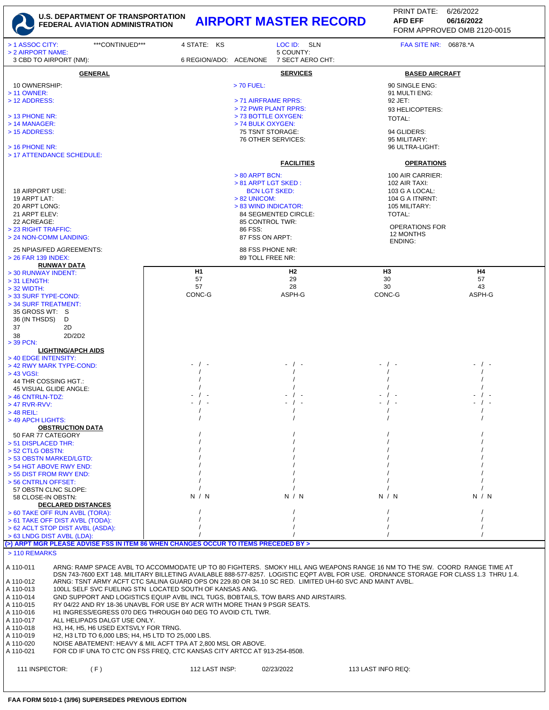

## **U.S. DEPARTMENT OF TRANSPORTATION FEDERAL AVIATION ADMINISTRATION AIRPORT MASTER RECORD AFD EFF 06/16/2022**

FORM APPROVED OMB 2120-0015 PRINT DATE: 6/26/2022 **AFD EFF**

| > 1 ASSOC CITY:<br>> 2 AIRPORT NAME:                                                                                                                                                        | ***CONTINUED*** | 4 STATE: KS            | LOC ID: SLN<br>5 COUNTY:                 |                                                                                                                                       | FAA SITE NR: 06878.*A |  |  |  |
|---------------------------------------------------------------------------------------------------------------------------------------------------------------------------------------------|-----------------|------------------------|------------------------------------------|---------------------------------------------------------------------------------------------------------------------------------------|-----------------------|--|--|--|
| 3 CBD TO AIRPORT (NM):                                                                                                                                                                      |                 | 6 REGION/ADO: ACE/NONE | 7 SECT AERO CHT:                         |                                                                                                                                       |                       |  |  |  |
|                                                                                                                                                                                             | <b>GENERAL</b>  |                        | <b>SERVICES</b>                          | <b>BASED AIRCRAFT</b>                                                                                                                 |                       |  |  |  |
| 10 OWNERSHIP:                                                                                                                                                                               |                 |                        | $> 70$ FUEL:                             | 90 SINGLE ENG:                                                                                                                        |                       |  |  |  |
| > 11 OWNER:<br>> 12 ADDRESS:                                                                                                                                                                |                 |                        | > 71 AIRFRAME RPRS:                      | 91 MULTI ENG:<br>92 JET:                                                                                                              |                       |  |  |  |
|                                                                                                                                                                                             |                 |                        | > 72 PWR PLANT RPRS:                     | 93 HELICOPTERS:                                                                                                                       |                       |  |  |  |
| $>$ 13 PHONE NR:<br>> 14 MANAGER:                                                                                                                                                           |                 |                        | > 73 BOTTLE OXYGEN:<br>> 74 BULK OXYGEN: | TOTAL:                                                                                                                                |                       |  |  |  |
| > 15 ADDRESS:                                                                                                                                                                               |                 |                        | 75 TSNT STORAGE:                         | 94 GLIDERS:                                                                                                                           |                       |  |  |  |
| $>$ 16 PHONE NR:                                                                                                                                                                            |                 |                        | 76 OTHER SERVICES:                       | 95 MILITARY:<br>96 ULTRA-LIGHT:                                                                                                       |                       |  |  |  |
| > 17 ATTENDANCE SCHEDULE:                                                                                                                                                                   |                 |                        |                                          |                                                                                                                                       |                       |  |  |  |
|                                                                                                                                                                                             |                 |                        | <b>FACILITIES</b>                        | <b>OPERATIONS</b>                                                                                                                     |                       |  |  |  |
|                                                                                                                                                                                             |                 |                        | $> 80$ ARPT BCN:<br>> 81 ARPT LGT SKED:  | 100 AIR CARRIER:<br>102 AIR TAXI:                                                                                                     |                       |  |  |  |
| 18 AIRPORT USE:                                                                                                                                                                             |                 |                        | <b>BCN LGT SKED:</b>                     |                                                                                                                                       | 103 G A LOCAL:        |  |  |  |
| 19 ARPT LAT:<br>20 ARPT LONG:                                                                                                                                                               |                 |                        | $> 82$ UNICOM:<br>> 83 WIND INDICATOR:   | 105 MILITARY:                                                                                                                         | 104 G A ITNRNT:       |  |  |  |
| 21 ARPT ELEV:                                                                                                                                                                               |                 |                        | 84 SEGMENTED CIRCLE:                     | TOTAL:                                                                                                                                |                       |  |  |  |
| 22 ACREAGE:<br>> 23 RIGHT TRAFFIC:                                                                                                                                                          |                 |                        | 85 CONTROL TWR:<br>86 FSS:               |                                                                                                                                       | <b>OPERATIONS FOR</b> |  |  |  |
| > 24 NON-COMM LANDING:                                                                                                                                                                      |                 |                        | 87 FSS ON ARPT:                          | 12 MONTHS<br><b>ENDING:</b>                                                                                                           |                       |  |  |  |
| 25 NPIAS/FED AGREEMENTS:                                                                                                                                                                    |                 |                        | 88 FSS PHONE NR:                         |                                                                                                                                       |                       |  |  |  |
| > 26 FAR 139 INDEX:<br><b>RUNWAY DATA</b>                                                                                                                                                   |                 |                        | 89 TOLL FREE NR:                         |                                                                                                                                       |                       |  |  |  |
| > 30 RUNWAY INDENT:                                                                                                                                                                         |                 | H <sub>1</sub>         | H <sub>2</sub>                           | H <sub>3</sub>                                                                                                                        | H4                    |  |  |  |
| $>$ 31 LENGTH:<br>$>$ 32 WIDTH:                                                                                                                                                             |                 | 57<br>57               | 29<br>28                                 | 30<br>30                                                                                                                              | 57<br>43              |  |  |  |
| > 33 SURF TYPE-COND:                                                                                                                                                                        |                 | CONC-G                 | ASPH-G                                   | CONC-G                                                                                                                                | ASPH-G                |  |  |  |
| > 34 SURF TREATMENT:<br>35 GROSS WT: S                                                                                                                                                      |                 |                        |                                          |                                                                                                                                       |                       |  |  |  |
| 36 (IN THSDS)<br>D                                                                                                                                                                          |                 |                        |                                          |                                                                                                                                       |                       |  |  |  |
| 37<br>2D<br>2D/2D2                                                                                                                                                                          |                 |                        |                                          |                                                                                                                                       |                       |  |  |  |
| 38<br>$>$ 39 PCN:                                                                                                                                                                           |                 |                        |                                          |                                                                                                                                       |                       |  |  |  |
| <b>LIGHTING/APCH AIDS</b><br>> 40 EDGE INTENSITY:                                                                                                                                           |                 |                        |                                          |                                                                                                                                       |                       |  |  |  |
| > 42 RWY MARK TYPE-COND:                                                                                                                                                                    |                 | - / -                  | - / -                                    |                                                                                                                                       |                       |  |  |  |
| > 43 VGSI:<br>44 THR COSSING HGT.:                                                                                                                                                          |                 |                        |                                          |                                                                                                                                       |                       |  |  |  |
| 45 VISUAL GLIDE ANGLE:                                                                                                                                                                      |                 |                        |                                          |                                                                                                                                       |                       |  |  |  |
| $>$ 46 CNTRLN-TDZ:<br>> 47 RVR-RVV:                                                                                                                                                         |                 |                        |                                          | $\sqrt{ }$                                                                                                                            |                       |  |  |  |
| $>$ 48 REIL:                                                                                                                                                                                |                 |                        |                                          |                                                                                                                                       |                       |  |  |  |
| > 49 APCH LIGHTS:<br><b>OBSTRUCTION DATA</b>                                                                                                                                                |                 |                        |                                          |                                                                                                                                       |                       |  |  |  |
| 50 FAR 77 CATEGORY                                                                                                                                                                          |                 |                        |                                          |                                                                                                                                       |                       |  |  |  |
| > 51 DISPLACED THR:<br>> 52 CTLG OBSTN:                                                                                                                                                     |                 |                        |                                          |                                                                                                                                       |                       |  |  |  |
| > 53 OBSTN MARKED/LGTD:                                                                                                                                                                     |                 |                        |                                          |                                                                                                                                       |                       |  |  |  |
| > 54 HGT ABOVE RWY END:<br>> 55 DIST FROM RWY END:                                                                                                                                          |                 |                        |                                          |                                                                                                                                       |                       |  |  |  |
| > 56 CNTRLN OFFSET:                                                                                                                                                                         |                 |                        |                                          |                                                                                                                                       |                       |  |  |  |
| 57 OBSTN CLNC SLOPE:<br>58 CLOSE-IN OBSTN:                                                                                                                                                  |                 | N / N                  | N / N                                    | N / N                                                                                                                                 | N / N                 |  |  |  |
| <b>DECLARED DISTANCES</b>                                                                                                                                                                   |                 |                        |                                          |                                                                                                                                       |                       |  |  |  |
| > 60 TAKE OFF RUN AVBL (TORA):<br>> 61 TAKE OFF DIST AVBL (TODA):                                                                                                                           |                 |                        |                                          |                                                                                                                                       |                       |  |  |  |
| > 62 ACLT STOP DIST AVBL (ASDA):                                                                                                                                                            |                 |                        |                                          |                                                                                                                                       |                       |  |  |  |
| > 63 LNDG DIST AVBL (LDA):                                                                                                                                                                  |                 |                        |                                          |                                                                                                                                       |                       |  |  |  |
| (>) ARPT MGR PLEASE ADVISE FSS IN ITEM 86 WHEN CHANGES OCCUR TO ITEMS PRECEDED BY ><br>> 110 REMARKS                                                                                        |                 |                        |                                          |                                                                                                                                       |                       |  |  |  |
| A 110-011                                                                                                                                                                                   |                 |                        |                                          | ARNG: RAMP SPACE AVBL TO ACCOMMODATE UP TO 80 FIGHTERS. SMOKY HILL ANG WEAPONS RANGE 16 NM TO THE SW. COORD RANGE TIME AT             |                       |  |  |  |
|                                                                                                                                                                                             |                 |                        |                                          | DSN 743-7600 EXT 148. MILITARY BILLETING AVAILABLE 888-577-8257. LOGISTIC EQPT AVBL FOR USE. ORDNANCE STORAGE FOR CLASS 1.3 THRU 1.4. |                       |  |  |  |
| A 110-012<br>ARNG: TSNT ARMY ACFT CTC SALINA GUARD OPS ON 229.80 OR 34.10 SC RED. LIMITED UH-60 SVC AND MAINT AVBL.<br>A 110-013<br>100LL SELF SVC FUELING STN LOCATED SOUTH OF KANSAS ANG. |                 |                        |                                          |                                                                                                                                       |                       |  |  |  |
| A 110-014<br>GND SUPPORT AND LOGISTICS EQUIP AVBL INCL TUGS, BOBTAILS, TOW BARS AND AIRSTAIRS.                                                                                              |                 |                        |                                          |                                                                                                                                       |                       |  |  |  |
| RY 04/22 AND RY 18-36 UNAVBL FOR USE BY ACR WITH MORE THAN 9 PSGR SEATS.<br>A 110-015<br>A 110-016<br>H1 INGRESS/EGRESS 070 DEG THROUGH 040 DEG TO AVOID CTL TWR.                           |                 |                        |                                          |                                                                                                                                       |                       |  |  |  |
| A 110-017<br>ALL HELIPADS DALGT USE ONLY.                                                                                                                                                   |                 |                        |                                          |                                                                                                                                       |                       |  |  |  |
| A 110-018<br>H3, H4, H5, H6 USED EXTSVLY FOR TRNG.<br>A 110-019<br>H2, H3 LTD TO 6,000 LBS; H4, H5 LTD TO 25,000 LBS.                                                                       |                 |                        |                                          |                                                                                                                                       |                       |  |  |  |
| A 110-020<br>NOISE ABATEMENT: HEAVY & MIL ACFT TPA AT 2,800 MSL OR ABOVE.<br>FOR CD IF UNA TO CTC ON FSS FREQ, CTC KANSAS CITY ARTCC AT 913-254-8508.                                       |                 |                        |                                          |                                                                                                                                       |                       |  |  |  |
| A 110-021                                                                                                                                                                                   |                 |                        |                                          |                                                                                                                                       |                       |  |  |  |
| 111 INSPECTOR:                                                                                                                                                                              | (F)             | 112 LAST INSP:         | 02/23/2022                               | 113 LAST INFO REQ:                                                                                                                    |                       |  |  |  |